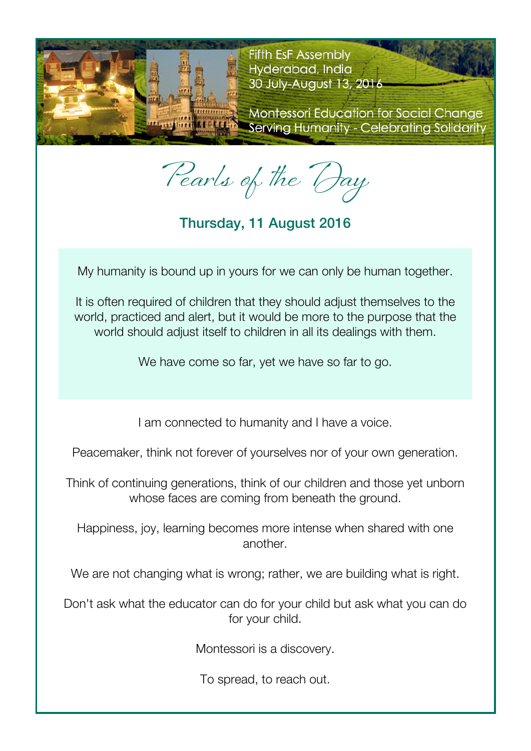

**Fifth EsF Assembly** Hyderabad, India 30 July-August 13, 2016

**Montessori Education for Social Change** Serving Humanity - Celebrating Solidarity

Pearls of the Day

Thursday, 11 August 2016

My humanity is bound up in yours for we can only be human together.

It is often required of children that they should adjust themselves to the world, practiced and alert, but it would be more to the purpose that the world should adjust itself to children in all its dealings with them.

We have come so far, yet we have so far to go.

I am connected to humanity and I have a voice.

Peacemaker, think not forever of yourselves nor of your own generation.

Think of continuing generations, think of our children and those yet unborn whose faces are coming from beneath the ground.

Happiness, joy, learning becomes more intense when shared with one another.

We are not changing what is wrong; rather, we are building what is right.

Don't ask what the educator can do for your child but ask what you can do for your child.

Montessori is a discovery.

To spread, to reach out.